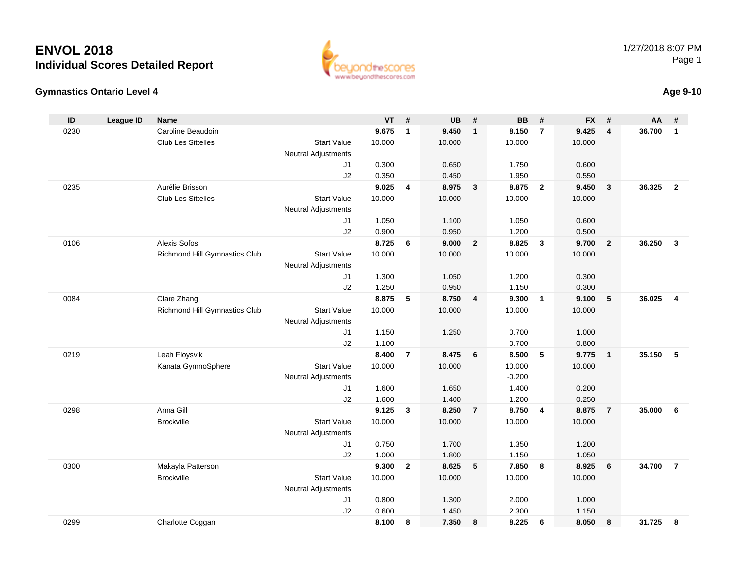



### **Age 9-10**

| ID   | <b>League ID</b> | <b>Name</b>                                  |                            | <b>VT</b>      | #              | <b>UB</b>      | #              | <b>BB</b>      | #                       | <b>FX</b>      | #                       | AA     | #              |
|------|------------------|----------------------------------------------|----------------------------|----------------|----------------|----------------|----------------|----------------|-------------------------|----------------|-------------------------|--------|----------------|
| 0230 |                  | Caroline Beaudoin                            |                            | 9.675          | $\mathbf{1}$   | 9.450          | $\mathbf{1}$   | 8.150          | $\overline{7}$          | 9.425          | 4                       | 36.700 | $\mathbf{1}$   |
|      |                  | Club Les Sittelles                           | <b>Start Value</b>         | 10.000         |                | 10.000         |                | 10.000         |                         | 10.000         |                         |        |                |
|      |                  |                                              | <b>Neutral Adjustments</b> |                |                |                |                |                |                         |                |                         |        |                |
|      |                  |                                              | J1                         | 0.300          |                | 0.650          |                | 1.750          |                         | 0.600          |                         |        |                |
|      |                  |                                              | J2                         | 0.350          |                | 0.450          |                | 1.950          |                         | 0.550          |                         |        |                |
| 0235 |                  | Aurélie Brisson                              |                            | 9.025          | 4              | 8.975          | $\mathbf{3}$   | 8.875          | $\mathbf{2}$            | 9.450          | $\overline{\mathbf{3}}$ | 36.325 | $\overline{2}$ |
|      |                  | Club Les Sittelles                           | <b>Start Value</b>         | 10.000         |                | 10.000         |                | 10.000         |                         | 10.000         |                         |        |                |
|      |                  |                                              | <b>Neutral Adjustments</b> |                |                |                |                |                |                         |                |                         |        |                |
|      |                  |                                              | J1                         | 1.050          |                | 1.100          |                | 1.050          |                         | 0.600          |                         |        |                |
|      |                  |                                              | J2                         | 0.900          |                | 0.950          |                | 1.200          |                         | 0.500          |                         |        |                |
| 0106 |                  | Alexis Sofos                                 |                            | 8.725          | 6              | 9.000          | $\mathbf{2}$   | 8.825          | $\mathbf{3}$            | 9.700          | $\overline{\mathbf{2}}$ | 36.250 | $\mathbf{3}$   |
|      |                  | Richmond Hill Gymnastics Club                | <b>Start Value</b>         | 10.000         |                | 10.000         |                | 10.000         |                         | 10.000         |                         |        |                |
|      |                  |                                              | <b>Neutral Adjustments</b> |                |                |                |                |                |                         |                |                         |        |                |
|      |                  |                                              | J1                         | 1.300          |                | 1.050          |                | 1.200          |                         | 0.300          |                         |        |                |
| 0084 |                  |                                              | J2                         | 1.250<br>8.875 |                | 0.950<br>8.750 |                | 1.150<br>9.300 | $\overline{\mathbf{1}}$ | 0.300<br>9.100 | 5                       | 36.025 | $\overline{4}$ |
|      |                  | Clare Zhang<br>Richmond Hill Gymnastics Club | <b>Start Value</b>         | 10.000         | 5              | 10.000         | 4              | 10.000         |                         | 10.000         |                         |        |                |
|      |                  |                                              | <b>Neutral Adjustments</b> |                |                |                |                |                |                         |                |                         |        |                |
|      |                  |                                              | J1                         | 1.150          |                | 1.250          |                | 0.700          |                         | 1.000          |                         |        |                |
|      |                  |                                              | J2                         | 1.100          |                |                |                | 0.700          |                         | 0.800          |                         |        |                |
| 0219 |                  | Leah Floysvik                                |                            | 8.400          | $\overline{7}$ | 8.475          | 6              | 8.500          | 5                       | 9.775          | $\blacksquare$          | 35.150 | - 5            |
|      |                  | Kanata GymnoSphere                           | <b>Start Value</b>         | 10.000         |                | 10.000         |                | 10.000         |                         | 10.000         |                         |        |                |
|      |                  |                                              | <b>Neutral Adjustments</b> |                |                |                |                | $-0.200$       |                         |                |                         |        |                |
|      |                  |                                              | J1                         | 1.600          |                | 1.650          |                | 1.400          |                         | 0.200          |                         |        |                |
|      |                  |                                              | J2                         | 1.600          |                | 1.400          |                | 1.200          |                         | 0.250          |                         |        |                |
| 0298 |                  | Anna Gill                                    |                            | 9.125          | 3              | 8.250          | $\overline{7}$ | 8.750          | 4                       | 8.875          | $\overline{7}$          | 35.000 | 6              |
|      |                  | <b>Brockville</b>                            | <b>Start Value</b>         | 10.000         |                | 10.000         |                | 10.000         |                         | 10.000         |                         |        |                |
|      |                  |                                              | <b>Neutral Adjustments</b> |                |                |                |                |                |                         |                |                         |        |                |
|      |                  |                                              | J1                         | 0.750          |                | 1.700          |                | 1.350          |                         | 1.200          |                         |        |                |
|      |                  |                                              | J2                         | 1.000          |                | 1.800          |                | 1.150          |                         | 1.050          |                         |        |                |
| 0300 |                  | Makayla Patterson                            |                            | 9.300          | $\mathbf{2}$   | 8.625          | 5              | 7.850          | 8                       | 8.925          | 6                       | 34.700 | $\overline{7}$ |
|      |                  | <b>Brockville</b>                            | <b>Start Value</b>         | 10.000         |                | 10.000         |                | 10.000         |                         | 10.000         |                         |        |                |
|      |                  |                                              | <b>Neutral Adjustments</b> |                |                |                |                |                |                         |                |                         |        |                |
|      |                  |                                              | J1                         | 0.800          |                | 1.300          |                | 2.000          |                         | 1.000          |                         |        |                |
|      |                  |                                              | J2                         | 0.600          |                | 1.450          |                | 2.300          |                         | 1.150          |                         |        |                |
| 0299 |                  | Charlotte Coggan                             |                            | 8.100          | 8              | 7.350          | 8              | 8.225          | 6                       | 8.050          | 8                       | 31.725 | 8              |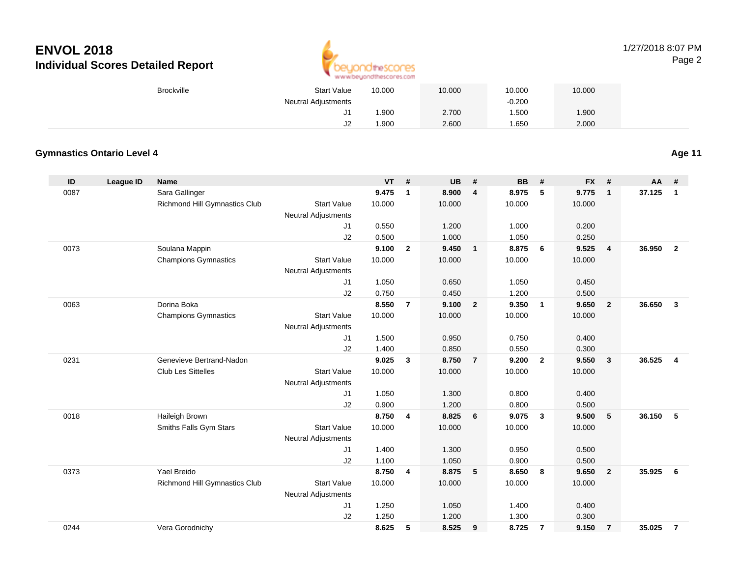

### 1/27/2018 8:07 PMPage 2

| Brockville | <b>Start Value</b>  | 10.000 | 10.000 | 10.000   | 10.000 |
|------------|---------------------|--------|--------|----------|--------|
|            | Neutral Adjustments |        |        | $-0.200$ |        |
|            |                     | .900   | 2.700  | .500     | 1.900  |
|            | ےں                  | .900   | 2.600  | .650     | 2.000  |

### **Gymnastics Ontario Level 4**

**Age 11**

| ID   | <b>League ID</b> | Name                          |                            | <b>VT</b> | #              | <b>UB</b> | #                       | <b>BB</b> | #              | <b>FX</b> | #              | <b>AA</b> | #              |
|------|------------------|-------------------------------|----------------------------|-----------|----------------|-----------|-------------------------|-----------|----------------|-----------|----------------|-----------|----------------|
| 0087 |                  | Sara Gallinger                |                            | 9.475     | $\mathbf{1}$   | 8.900     | $\overline{4}$          | 8.975     | 5              | 9.775     | $\mathbf{1}$   | 37.125    | $\mathbf{1}$   |
|      |                  | Richmond Hill Gymnastics Club | <b>Start Value</b>         | 10.000    |                | 10.000    |                         | 10.000    |                | 10.000    |                |           |                |
|      |                  |                               | <b>Neutral Adjustments</b> |           |                |           |                         |           |                |           |                |           |                |
|      |                  |                               | J1                         | 0.550     |                | 1.200     |                         | 1.000     |                | 0.200     |                |           |                |
|      |                  |                               | J2                         | 0.500     |                | 1.000     |                         | 1.050     |                | 0.250     |                |           |                |
| 0073 |                  | Soulana Mappin                |                            | 9.100     | $\overline{2}$ | 9.450     | $\overline{1}$          | 8.875     | - 6            | 9.525     | $\overline{4}$ | 36.950    | $\overline{2}$ |
|      |                  | <b>Champions Gymnastics</b>   | <b>Start Value</b>         | 10.000    |                | 10.000    |                         | 10.000    |                | 10.000    |                |           |                |
|      |                  |                               | <b>Neutral Adjustments</b> |           |                |           |                         |           |                |           |                |           |                |
|      |                  |                               | J <sub>1</sub>             | 1.050     |                | 0.650     |                         | 1.050     |                | 0.450     |                |           |                |
|      |                  |                               | J2                         | 0.750     |                | 0.450     |                         | 1.200     |                | 0.500     |                |           |                |
| 0063 |                  | Dorina Boka                   |                            | 8.550     | $\overline{7}$ | 9.100     | $\overline{\mathbf{2}}$ | 9.350     | $\overline{1}$ | 9.650     | $\overline{2}$ | 36.650    | $\mathbf{3}$   |
|      |                  | <b>Champions Gymnastics</b>   | <b>Start Value</b>         | 10.000    |                | 10.000    |                         | 10.000    |                | 10.000    |                |           |                |
|      |                  |                               | <b>Neutral Adjustments</b> |           |                |           |                         |           |                |           |                |           |                |
|      |                  |                               | J1                         | 1.500     |                | 0.950     |                         | 0.750     |                | 0.400     |                |           |                |
|      |                  |                               | J2                         | 1.400     |                | 0.850     |                         | 0.550     |                | 0.300     |                |           |                |
| 0231 |                  | Genevieve Bertrand-Nadon      |                            | 9.025     | $\mathbf{3}$   | 8.750     | $\overline{7}$          | 9.200     | $\overline{2}$ | 9.550     | $\mathbf{3}$   | 36.525    | $\overline{4}$ |
|      |                  | <b>Club Les Sittelles</b>     | <b>Start Value</b>         | 10.000    |                | 10.000    |                         | 10.000    |                | 10.000    |                |           |                |
|      |                  |                               | <b>Neutral Adjustments</b> |           |                |           |                         |           |                |           |                |           |                |
|      |                  |                               | J1                         | 1.050     |                | 1.300     |                         | 0.800     |                | 0.400     |                |           |                |
|      |                  |                               | J2                         | 0.900     |                | 1.200     |                         | 0.800     |                | 0.500     |                |           |                |
| 0018 |                  | Haileigh Brown                |                            | 8.750     | 4              | 8.825     | 6                       | 9.075     | $\mathbf{3}$   | 9.500     | 5              | 36.150    | -5             |
|      |                  | Smiths Falls Gym Stars        | <b>Start Value</b>         | 10.000    |                | 10.000    |                         | 10.000    |                | 10.000    |                |           |                |
|      |                  |                               | <b>Neutral Adjustments</b> |           |                |           |                         |           |                |           |                |           |                |
|      |                  |                               | J1                         | 1.400     |                | 1.300     |                         | 0.950     |                | 0.500     |                |           |                |
|      |                  |                               | J2                         | 1.100     |                | 1.050     |                         | 0.900     |                | 0.500     |                |           |                |
| 0373 |                  | Yael Breido                   |                            | 8.750     | 4              | 8.875     | 5                       | 8.650     | - 8            | 9.650     | $\overline{2}$ | 35.925    | 6              |
|      |                  | Richmond Hill Gymnastics Club | <b>Start Value</b>         | 10.000    |                | 10.000    |                         | 10.000    |                | 10.000    |                |           |                |
|      |                  |                               | <b>Neutral Adjustments</b> |           |                |           |                         |           |                |           |                |           |                |
|      |                  |                               | J1                         | 1.250     |                | 1.050     |                         | 1.400     |                | 0.400     |                |           |                |
|      |                  |                               | J2                         | 1.250     |                | 1.200     |                         | 1.300     |                | 0.300     |                |           |                |
| 0244 |                  | Vera Gorodnichy               |                            | 8.625     | 5              | 8.525     | 9                       | 8.725     | $\overline{7}$ | 9.150     | $\overline{7}$ | 35.025    | $\overline{7}$ |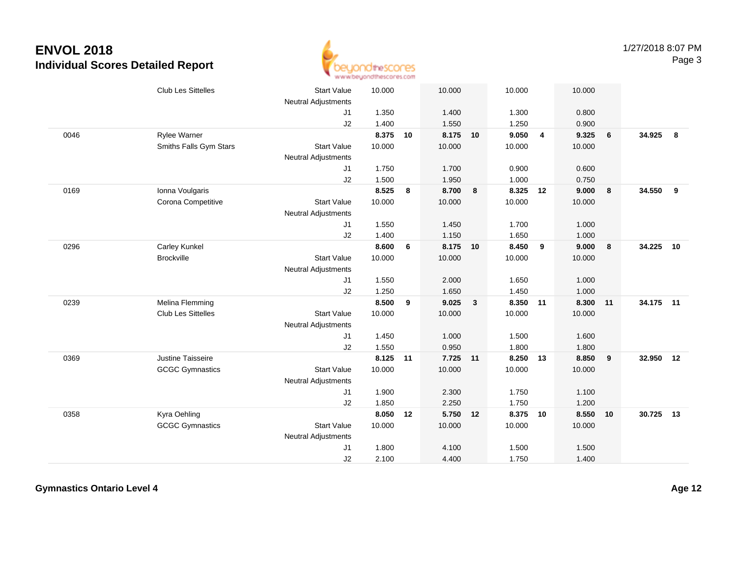

|      | Club Les Sittelles     | <b>Start Value</b><br><b>Neutral Adjustments</b> | 10.000 |    | 10.000   |              | 10.000   |                | 10.000 |                         |           |    |
|------|------------------------|--------------------------------------------------|--------|----|----------|--------------|----------|----------------|--------|-------------------------|-----------|----|
|      |                        | J <sub>1</sub>                                   | 1.350  |    | 1.400    |              | 1.300    |                | 0.800  |                         |           |    |
|      |                        | J2                                               | 1.400  |    | 1.550    |              | 1.250    |                | 0.900  |                         |           |    |
| 0046 | <b>Rylee Warner</b>    |                                                  | 8.375  | 10 | 8.175 10 |              | 9.050    | $\overline{4}$ | 9.325  | 6                       | 34.925    | 8  |
|      | Smiths Falls Gym Stars | <b>Start Value</b>                               | 10.000 |    | 10.000   |              | 10.000   |                | 10.000 |                         |           |    |
|      |                        | <b>Neutral Adjustments</b>                       |        |    |          |              |          |                |        |                         |           |    |
|      |                        | J1                                               | 1.750  |    | 1.700    |              | 0.900    |                | 0.600  |                         |           |    |
|      |                        | J2                                               | 1.500  |    | 1.950    |              | 1.000    |                | 0.750  |                         |           |    |
| 0169 | Ionna Voulgaris        |                                                  | 8.525  | 8  | 8.700    | 8            | 8.325 12 |                | 9.000  | 8                       | 34.550    | 9  |
|      | Corona Competitive     | <b>Start Value</b>                               | 10.000 |    | 10.000   |              | 10.000   |                | 10.000 |                         |           |    |
|      |                        | <b>Neutral Adjustments</b>                       |        |    |          |              |          |                |        |                         |           |    |
|      |                        | J <sub>1</sub>                                   | 1.550  |    | 1.450    |              | 1.700    |                | 1.000  |                         |           |    |
|      |                        | J2                                               | 1.400  |    | 1.150    |              | 1.650    |                | 1.000  |                         |           |    |
| 0296 | Carley Kunkel          |                                                  | 8.600  | 6  | 8.175    | 10           | 8.450    | 9              | 9.000  | 8                       | 34.225    | 10 |
|      | <b>Brockville</b>      | <b>Start Value</b>                               | 10.000 |    | 10.000   |              | 10.000   |                | 10.000 |                         |           |    |
|      |                        | Neutral Adjustments                              |        |    |          |              |          |                |        |                         |           |    |
|      |                        | J1                                               | 1.550  |    | 2.000    |              | 1.650    |                | 1.000  |                         |           |    |
|      |                        | J2                                               | 1.250  |    | 1.650    |              | 1.450    |                | 1.000  |                         |           |    |
| 0239 | Melina Flemming        |                                                  | 8.500  | 9  | 9.025    | $\mathbf{3}$ | 8.350    | 11             | 8.300  | 11                      | 34.175 11 |    |
|      | Club Les Sittelles     | <b>Start Value</b>                               | 10.000 |    | 10.000   |              | 10.000   |                | 10.000 |                         |           |    |
|      |                        | Neutral Adjustments                              |        |    |          |              |          |                |        |                         |           |    |
|      |                        | J1                                               | 1.450  |    | 1.000    |              | 1.500    |                | 1.600  |                         |           |    |
|      |                        | J2                                               | 1.550  |    | 0.950    |              | 1.800    |                | 1.800  |                         |           |    |
| 0369 | Justine Taisseire      |                                                  | 8.125  | 11 | 7.725    | 11           | 8.250    | 13             | 8.850  | $\overline{\mathbf{9}}$ | 32.950    | 12 |
|      | <b>GCGC Gymnastics</b> | <b>Start Value</b>                               | 10.000 |    | 10.000   |              | 10.000   |                | 10.000 |                         |           |    |
|      |                        | <b>Neutral Adjustments</b>                       |        |    |          |              |          |                |        |                         |           |    |
|      |                        | J1                                               | 1.900  |    | 2.300    |              | 1.750    |                | 1.100  |                         |           |    |
|      |                        | J2                                               | 1.850  |    | 2.250    |              | 1.750    |                | 1.200  |                         |           |    |
| 0358 | Kyra Oehling           |                                                  | 8.050  | 12 | 5.750 12 |              | 8.375 10 |                | 8.550  | 10                      | 30.725    | 13 |
|      | <b>GCGC Gymnastics</b> | <b>Start Value</b>                               | 10.000 |    | 10.000   |              | 10.000   |                | 10.000 |                         |           |    |
|      |                        | Neutral Adjustments                              |        |    |          |              |          |                |        |                         |           |    |
|      |                        | J1                                               | 1.800  |    | 4.100    |              | 1.500    |                | 1.500  |                         |           |    |
|      |                        | J2                                               | 2.100  |    | 4.400    |              | 1.750    |                | 1.400  |                         |           |    |

**Gymnastics Ontario Level 4**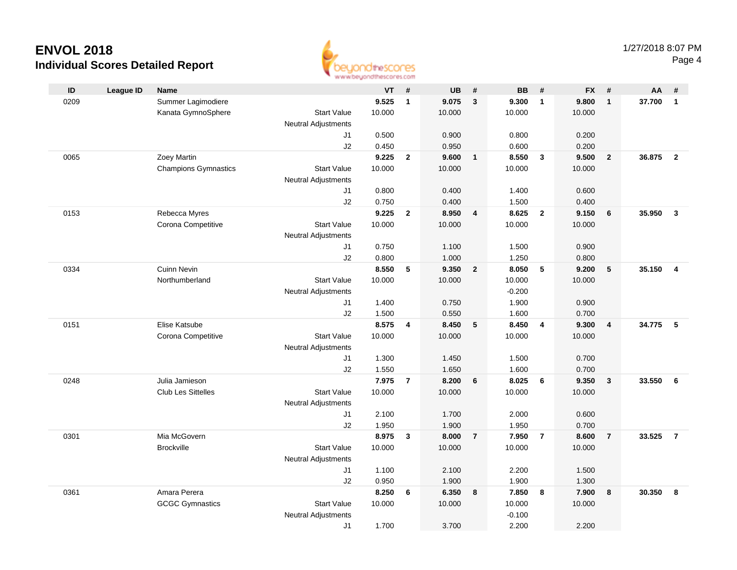

|      |                  |                             | as as arrived for an increme are must |           |                |           |                |           |                |           |                 |        |                |
|------|------------------|-----------------------------|---------------------------------------|-----------|----------------|-----------|----------------|-----------|----------------|-----------|-----------------|--------|----------------|
| ID   | <b>League ID</b> | <b>Name</b>                 |                                       | <b>VT</b> | - #            | <b>UB</b> | #              | <b>BB</b> | #              | <b>FX</b> | #               | AA     | #              |
| 0209 |                  | Summer Lagimodiere          |                                       | 9.525     | $\mathbf{1}$   | 9.075     | $\mathbf{3}$   | 9.300     | $\overline{1}$ | 9.800     | $\overline{1}$  | 37.700 | $\overline{1}$ |
|      |                  | Kanata GymnoSphere          | <b>Start Value</b>                    | 10.000    |                | 10.000    |                | 10.000    |                | 10.000    |                 |        |                |
|      |                  |                             | <b>Neutral Adjustments</b>            |           |                |           |                |           |                |           |                 |        |                |
|      |                  |                             | J1                                    | 0.500     |                | 0.900     |                | 0.800     |                | 0.200     |                 |        |                |
|      |                  |                             | J2                                    | 0.450     |                | 0.950     |                | 0.600     |                | 0.200     |                 |        |                |
| 0065 |                  | Zoey Martin                 |                                       | 9.225     | $\overline{2}$ | 9.600     | $\mathbf{1}$   | 8.550     | $\mathbf{3}$   | 9.500     | $\overline{2}$  | 36.875 | $\overline{2}$ |
|      |                  | <b>Champions Gymnastics</b> | <b>Start Value</b>                    | 10.000    |                | 10.000    |                | 10.000    |                | 10.000    |                 |        |                |
|      |                  |                             | <b>Neutral Adjustments</b>            |           |                |           |                |           |                |           |                 |        |                |
|      |                  |                             | J1                                    | 0.800     |                | 0.400     |                | 1.400     |                | 0.600     |                 |        |                |
|      |                  |                             | J2                                    | 0.750     |                | 0.400     |                | 1.500     |                | 0.400     |                 |        |                |
| 0153 |                  | Rebecca Myres               |                                       | 9.225     | $\mathbf{2}$   | 8.950     | 4              | 8.625     | $\overline{2}$ | 9.150     | $6\phantom{1}6$ | 35.950 | $\mathbf{3}$   |
|      |                  | Corona Competitive          | <b>Start Value</b>                    | 10.000    |                | 10.000    |                | 10.000    |                | 10.000    |                 |        |                |
|      |                  |                             | <b>Neutral Adjustments</b>            |           |                |           |                |           |                |           |                 |        |                |
|      |                  |                             | J1                                    | 0.750     |                | 1.100     |                | 1.500     |                | 0.900     |                 |        |                |
|      |                  |                             | J2                                    | 0.800     |                | 1.000     |                | 1.250     |                | 0.800     |                 |        |                |
| 0334 |                  | <b>Cuinn Nevin</b>          |                                       | 8.550     | 5              | 9.350     | $\overline{2}$ | 8.050     | 5              | 9.200     | $\sqrt{5}$      | 35.150 | $\overline{4}$ |
|      |                  | Northumberland              | <b>Start Value</b>                    | 10.000    |                | 10.000    |                | 10.000    |                | 10.000    |                 |        |                |
|      |                  |                             | <b>Neutral Adjustments</b>            |           |                |           |                | $-0.200$  |                |           |                 |        |                |
|      |                  |                             | J1                                    | 1.400     |                | 0.750     |                | 1.900     |                | 0.900     |                 |        |                |
|      |                  |                             | J2                                    | 1.500     |                | 0.550     |                | 1.600     |                | 0.700     |                 |        |                |
| 0151 |                  | Elise Katsube               |                                       | 8.575     | 4              | 8.450     | $\sqrt{5}$     | 8.450     | $\overline{4}$ | 9.300     | $\overline{4}$  | 34.775 | 5              |
|      |                  | Corona Competitive          | <b>Start Value</b>                    | 10.000    |                | 10.000    |                | 10.000    |                | 10.000    |                 |        |                |
|      |                  |                             | <b>Neutral Adjustments</b>            |           |                |           |                |           |                |           |                 |        |                |
|      |                  |                             | J1                                    | 1.300     |                | 1.450     |                | 1.500     |                | 0.700     |                 |        |                |
|      |                  |                             | J2                                    | 1.550     |                | 1.650     |                | 1.600     |                | 0.700     |                 |        |                |
| 0248 |                  | Julia Jamieson              |                                       | 7.975     | $\overline{7}$ | 8.200     | 6              | 8.025     | 6              | 9.350     | $\mathbf{3}$    | 33.550 | 6              |
|      |                  | <b>Club Les Sittelles</b>   | <b>Start Value</b>                    | 10.000    |                | 10.000    |                | 10.000    |                | 10.000    |                 |        |                |
|      |                  |                             | <b>Neutral Adjustments</b>            |           |                |           |                |           |                |           |                 |        |                |
|      |                  |                             | J1                                    | 2.100     |                | 1.700     |                | 2.000     |                | 0.600     |                 |        |                |
|      |                  |                             | J2                                    | 1.950     |                | 1.900     |                | 1.950     |                | 0.700     |                 |        |                |
| 0301 |                  | Mia McGovern                |                                       | 8.975     | $\mathbf{3}$   | 8.000     | $\overline{7}$ | 7.950     | $\overline{7}$ | 8.600     | $\overline{7}$  | 33.525 | $\overline{7}$ |
|      |                  | <b>Brockville</b>           | <b>Start Value</b>                    | 10.000    |                | 10.000    |                | 10.000    |                | 10.000    |                 |        |                |
|      |                  |                             | <b>Neutral Adjustments</b>            |           |                |           |                |           |                |           |                 |        |                |
|      |                  |                             | J1                                    | 1.100     |                | 2.100     |                | 2.200     |                | 1.500     |                 |        |                |
|      |                  |                             | J2                                    | 0.950     |                | 1.900     |                | 1.900     |                | 1.300     |                 |        |                |
| 0361 |                  | Amara Perera                |                                       | 8.250     | 6              | 6.350     | 8              | 7.850     | 8              | 7.900     | 8               | 30.350 | 8              |
|      |                  | <b>GCGC Gymnastics</b>      | <b>Start Value</b>                    | 10.000    |                | 10.000    |                | 10.000    |                | 10.000    |                 |        |                |
|      |                  |                             | <b>Neutral Adjustments</b>            |           |                |           |                | $-0.100$  |                |           |                 |        |                |
|      |                  |                             | J1                                    | 1.700     |                | 3.700     |                | 2.200     |                | 2.200     |                 |        |                |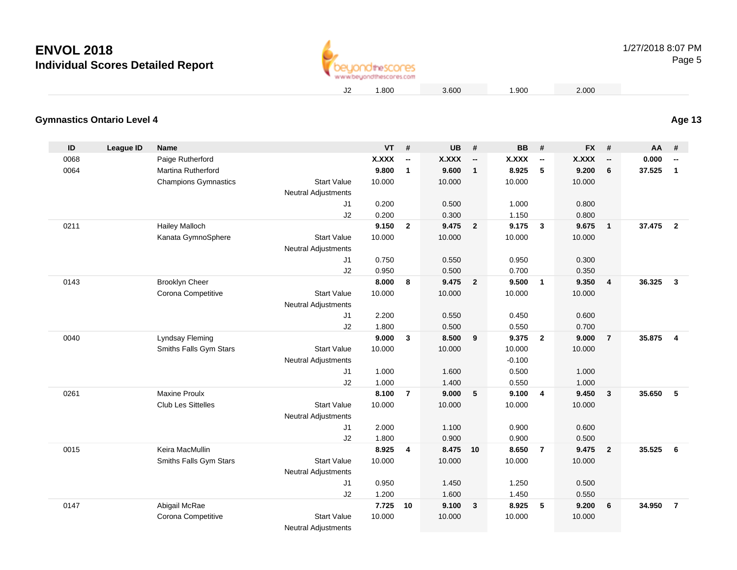

1.800 3.600 1.900 2.000

#### **Gymnastics Ontario Level 4Age 13**

| ID   | <b>League ID</b> | <b>Name</b>                 |                                              | $VT$ #          |                | <b>UB</b>       | #                        | <b>BB</b>       | #                        | <b>FX</b>    | #                        | <b>AA</b> | #                        |
|------|------------------|-----------------------------|----------------------------------------------|-----------------|----------------|-----------------|--------------------------|-----------------|--------------------------|--------------|--------------------------|-----------|--------------------------|
| 0068 |                  | Paige Rutherford            |                                              | <b>X.XXX</b>    | --             | <b>X.XXX</b>    | $\overline{\phantom{a}}$ | <b>X.XXX</b>    | $\overline{\phantom{a}}$ | <b>X.XXX</b> | $\overline{\phantom{a}}$ | 0.000     | $\overline{\phantom{a}}$ |
| 0064 |                  | <b>Martina Rutherford</b>   |                                              | 9.800           | $\mathbf{1}$   | 9.600           | $\mathbf{1}$             | 8.925           | 5                        | 9.200        | 6                        | 37.525    | $\mathbf{1}$             |
|      |                  | <b>Champions Gymnastics</b> | <b>Start Value</b>                           | 10.000          |                | 10.000          |                          | 10.000          |                          | 10.000       |                          |           |                          |
|      |                  |                             | <b>Neutral Adjustments</b>                   |                 |                |                 |                          |                 |                          |              |                          |           |                          |
|      |                  |                             | J1                                           | 0.200           |                | 0.500           |                          | 1.000           |                          | 0.800        |                          |           |                          |
|      |                  |                             | J2                                           | 0.200           |                | 0.300           |                          | 1.150           |                          | 0.800        |                          |           |                          |
| 0211 |                  | Hailey Malloch              |                                              | 9.150           | $\overline{2}$ | 9.475           | $\overline{\mathbf{2}}$  | 9.175           | $\overline{\mathbf{3}}$  | 9.675        | $\overline{1}$           | 37.475    | $\overline{2}$           |
|      |                  | Kanata GymnoSphere          | <b>Start Value</b>                           | 10.000          |                | 10.000          |                          | 10.000          |                          | 10.000       |                          |           |                          |
|      |                  |                             | <b>Neutral Adjustments</b>                   |                 |                |                 |                          |                 |                          |              |                          |           |                          |
|      |                  |                             | J1                                           | 0.750           |                | 0.550           |                          | 0.950           |                          | 0.300        |                          |           |                          |
|      |                  |                             | J2                                           | 0.950           |                | 0.500           |                          | 0.700           |                          | 0.350        |                          |           |                          |
| 0143 |                  | <b>Brooklyn Cheer</b>       |                                              | 8.000           | 8              | 9.475           | $\overline{\mathbf{2}}$  | 9.500           | $\overline{\phantom{0}}$ | 9.350        | $\overline{\mathbf{4}}$  | 36.325    | $\mathbf{3}$             |
|      |                  | Corona Competitive          | <b>Start Value</b>                           | 10.000          |                | 10.000          |                          | 10.000          |                          | 10.000       |                          |           |                          |
|      |                  |                             | Neutral Adjustments                          |                 |                |                 |                          |                 |                          |              |                          |           |                          |
|      |                  |                             | J <sub>1</sub>                               | 2.200           |                | 0.550           |                          | 0.450           |                          | 0.600        |                          |           |                          |
|      |                  |                             | J2                                           | 1.800           |                | 0.500           |                          | 0.550           |                          | 0.700        |                          |           |                          |
| 0040 |                  | Lyndsay Fleming             |                                              | 9.000           | 3              | 8.500           | 9                        | 9.375           | $\overline{2}$           | 9.000        | $\overline{7}$           | 35,875    | 4                        |
|      |                  | Smiths Falls Gym Stars      | <b>Start Value</b>                           | 10.000          |                | 10.000          |                          | 10.000          |                          | 10.000       |                          |           |                          |
|      |                  |                             | <b>Neutral Adjustments</b>                   |                 |                |                 |                          | $-0.100$        |                          |              |                          |           |                          |
|      |                  |                             | J <sub>1</sub>                               | 1.000           |                | 1.600           |                          | 0.500           |                          | 1.000        |                          |           |                          |
|      |                  |                             | J2                                           | 1.000           |                | 1.400           |                          | 0.550           |                          | 1.000        |                          |           |                          |
| 0261 |                  | <b>Maxine Proulx</b>        |                                              | 8.100           | $\overline{7}$ | 9.000           | 5                        | 9.100           | $\overline{4}$           | 9.450        | $\mathbf{3}$             | 35.650    | 5                        |
|      |                  | <b>Club Les Sittelles</b>   | <b>Start Value</b>                           | 10.000          |                | 10.000          |                          | 10.000          |                          | 10.000       |                          |           |                          |
|      |                  |                             | <b>Neutral Adjustments</b>                   |                 |                |                 |                          |                 |                          |              |                          |           |                          |
|      |                  |                             | J1                                           | 2.000           |                | 1.100           |                          | 0.900           |                          | 0.600        |                          |           |                          |
|      |                  |                             | J2                                           | 1.800           |                | 0.900           |                          | 0.900           |                          | 0.500        |                          | 35.525    |                          |
| 0015 |                  | Keira MacMullin             | <b>Start Value</b>                           | 8.925           | 4              | 8.475 10        |                          | 8.650           | $\overline{7}$           | 9.475        | $\overline{2}$           |           | 6                        |
|      |                  | Smiths Falls Gym Stars      |                                              | 10.000          |                | 10.000          |                          | 10.000          |                          | 10.000       |                          |           |                          |
|      |                  |                             | <b>Neutral Adjustments</b><br>J <sub>1</sub> | 0.950           |                | 1.450           |                          | 1.250           |                          | 0.500        |                          |           |                          |
|      |                  |                             | J2                                           | 1.200           |                | 1.600           |                          | 1.450           |                          | 0.550        |                          |           |                          |
| 0147 |                  | Abigail McRae               |                                              |                 | 10             |                 |                          |                 | $-5$                     |              |                          | 34.950    | $\overline{7}$           |
|      |                  |                             | <b>Start Value</b>                           | 7.725<br>10.000 |                | 9.100<br>10.000 | 3                        | 8.925<br>10.000 |                          | 9.200        | 6                        |           |                          |
|      |                  | Corona Competitive          |                                              |                 |                |                 |                          |                 |                          | 10.000       |                          |           |                          |
|      |                  |                             | <b>Neutral Adjustments</b>                   |                 |                |                 |                          |                 |                          |              |                          |           |                          |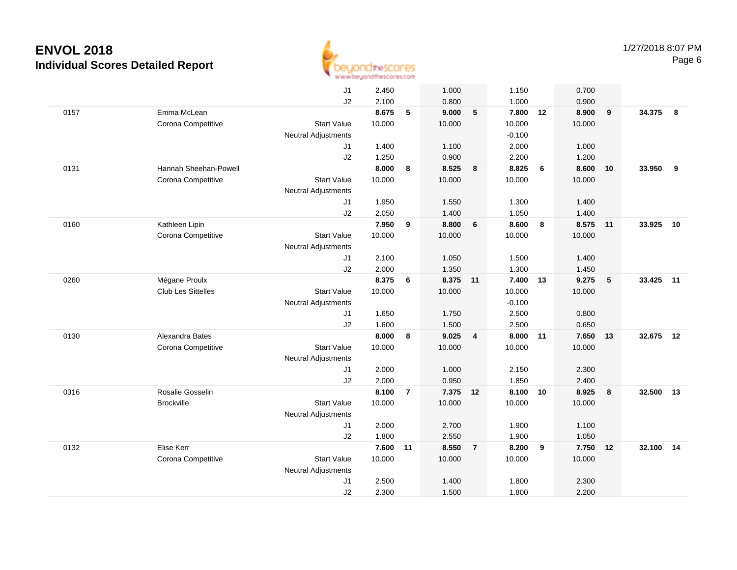

|      |                       | J1                         | 2.450  |                | 1.000    |                | 1.150    |    | 0.700  |    |        |       |
|------|-----------------------|----------------------------|--------|----------------|----------|----------------|----------|----|--------|----|--------|-------|
|      |                       | J2                         | 2.100  |                | 0.800    |                | 1.000    |    | 0.900  |    |        |       |
| 0157 | Emma McLean           |                            | 8.675  | 5              | 9.000    | 5              | 7.800    | 12 | 8.900  | 9  | 34.375 | - 8   |
|      | Corona Competitive    | <b>Start Value</b>         | 10.000 |                | 10.000   |                | 10.000   |    | 10.000 |    |        |       |
|      |                       | <b>Neutral Adjustments</b> |        |                |          |                | $-0.100$ |    |        |    |        |       |
|      |                       | J1                         | 1.400  |                | 1.100    |                | 2.000    |    | 1.000  |    |        |       |
|      |                       | J2                         | 1.250  |                | 0.900    |                | 2.200    |    | 1.200  |    |        |       |
| 0131 | Hannah Sheehan-Powell |                            | 8.000  | 8              | 8.525    | 8              | 8.825    | 6  | 8.600  | 10 | 33.950 | 9     |
|      | Corona Competitive    | <b>Start Value</b>         | 10.000 |                | 10.000   |                | 10.000   |    | 10.000 |    |        |       |
|      |                       | <b>Neutral Adjustments</b> |        |                |          |                |          |    |        |    |        |       |
|      |                       | J <sub>1</sub>             | 1.950  |                | 1.550    |                | 1.300    |    | 1.400  |    |        |       |
|      |                       | J2                         | 2.050  |                | 1.400    |                | 1.050    |    | 1.400  |    |        |       |
| 0160 | Kathleen Lipin        |                            | 7.950  | 9              | 8.800    | 6              | 8.600    | 8  | 8.575  | 11 | 33.925 | 10    |
|      | Corona Competitive    | <b>Start Value</b>         | 10.000 |                | 10.000   |                | 10.000   |    | 10.000 |    |        |       |
|      |                       | <b>Neutral Adjustments</b> |        |                |          |                |          |    |        |    |        |       |
|      |                       | J <sub>1</sub>             | 2.100  |                | 1.050    |                | 1.500    |    | 1.400  |    |        |       |
|      |                       | J2                         | 2.000  |                | 1.350    |                | 1.300    |    | 1.450  |    |        |       |
| 0260 | Mégane Proulx         |                            | 8.375  | 6              | 8.375 11 |                | 7.400    | 13 | 9.275  | 5  | 33.425 | $-11$ |
|      | Club Les Sittelles    | <b>Start Value</b>         | 10.000 |                | 10.000   |                | 10.000   |    | 10.000 |    |        |       |
|      |                       | <b>Neutral Adjustments</b> |        |                |          |                | $-0.100$ |    |        |    |        |       |
|      |                       | J <sub>1</sub>             | 1.650  |                | 1.750    |                | 2.500    |    | 0.800  |    |        |       |
|      |                       | J2                         | 1.600  |                | 1.500    |                | 2.500    |    | 0.650  |    |        |       |
| 0130 | Alexandra Bates       |                            | 8.000  | 8              | 9.025    | $\overline{4}$ | 8.000    | 11 | 7.650  | 13 | 32.675 | 12    |
|      | Corona Competitive    | <b>Start Value</b>         | 10.000 |                | 10.000   |                | 10.000   |    | 10.000 |    |        |       |
|      |                       | Neutral Adjustments        |        |                |          |                |          |    |        |    |        |       |
|      |                       | J <sub>1</sub>             | 2.000  |                | 1.000    |                | 2.150    |    | 2.300  |    |        |       |
|      |                       | J2                         | 2.000  |                | 0.950    |                | 1.850    |    | 2.400  |    |        |       |
| 0316 | Rosalie Gosselin      |                            | 8.100  | $\overline{7}$ | 7.375 12 |                | 8.100    | 10 | 8.925  | 8  | 32.500 | 13    |
|      | <b>Brockville</b>     | <b>Start Value</b>         | 10.000 |                | 10.000   |                | 10.000   |    | 10.000 |    |        |       |
|      |                       | Neutral Adjustments        |        |                |          |                |          |    |        |    |        |       |
|      |                       | J1                         | 2.000  |                | 2.700    |                | 1.900    |    | 1.100  |    |        |       |
|      |                       | J2                         | 1.800  |                | 2.550    |                | 1.900    |    | 1.050  |    |        |       |
| 0132 | Elise Kerr            |                            | 7.600  | 11             | 8.550    | $\overline{7}$ | 8.200    | 9  | 7.750  | 12 | 32.100 | 14    |
|      | Corona Competitive    | <b>Start Value</b>         | 10.000 |                | 10.000   |                | 10.000   |    | 10.000 |    |        |       |
|      |                       | Neutral Adjustments        |        |                |          |                |          |    |        |    |        |       |
|      |                       | J <sub>1</sub>             | 2.500  |                | 1.400    |                | 1.800    |    | 2.300  |    |        |       |
|      |                       | J2                         | 2.300  |                | 1.500    |                | 1.800    |    | 2.200  |    |        |       |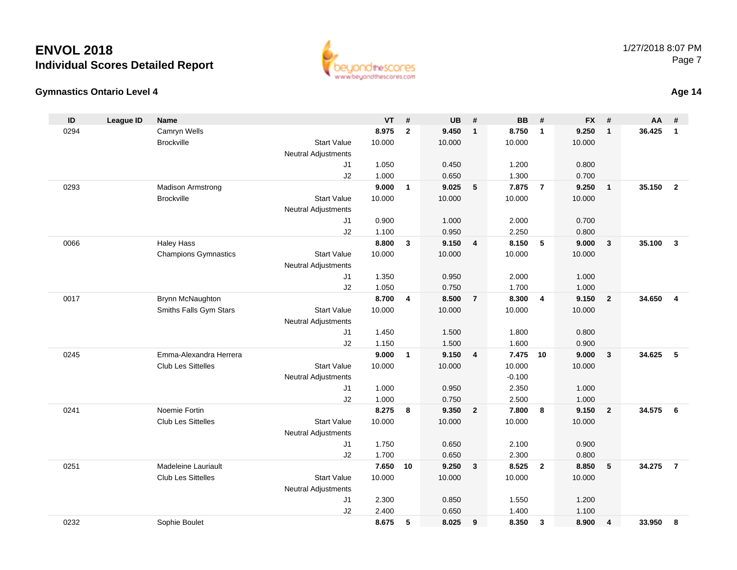



**Age 14**

| ID   | <b>League ID</b> | Name                        |                            | VT             | #              | <b>UB</b>      | #              | <b>BB</b>      | #              | <b>FX</b>      | #                       | AA     | #                       |
|------|------------------|-----------------------------|----------------------------|----------------|----------------|----------------|----------------|----------------|----------------|----------------|-------------------------|--------|-------------------------|
| 0294 |                  | Camryn Wells                |                            | 8.975          | $\overline{2}$ | 9.450          | $\mathbf{1}$   | 8.750          | $\overline{1}$ | 9.250          | $\overline{1}$          | 36.425 | $\mathbf{1}$            |
|      |                  | <b>Brockville</b>           | <b>Start Value</b>         | 10.000         |                | 10.000         |                | 10.000         |                | 10.000         |                         |        |                         |
|      |                  |                             | <b>Neutral Adjustments</b> |                |                |                |                |                |                |                |                         |        |                         |
|      |                  |                             | J <sub>1</sub>             | 1.050          |                | 0.450          |                | 1.200          |                | 0.800          |                         |        |                         |
|      |                  |                             | J2                         | 1.000          |                | 0.650          |                | 1.300          |                | 0.700          |                         |        |                         |
| 0293 |                  | <b>Madison Armstrong</b>    |                            | 9.000          | $\mathbf{1}$   | 9.025          | 5              | 7.875          | $\overline{7}$ | 9.250          | $\overline{1}$          | 35.150 | $\overline{2}$          |
|      |                  | <b>Brockville</b>           | <b>Start Value</b>         | 10.000         |                | 10.000         |                | 10.000         |                | 10.000         |                         |        |                         |
|      |                  |                             | <b>Neutral Adjustments</b> |                |                |                |                |                |                |                |                         |        |                         |
|      |                  |                             | J1                         | 0.900          |                | 1.000          |                | 2.000          |                | 0.700          |                         |        |                         |
|      |                  |                             | J2                         | 1.100          |                | 0.950          |                | 2.250          |                | 0.800          |                         |        |                         |
| 0066 |                  | <b>Haley Hass</b>           |                            | 8.800          | $\mathbf{3}$   | 9.150          | $\overline{4}$ | 8.150          | 5              | 9.000          | $\mathbf{3}$            | 35.100 | $\overline{\mathbf{3}}$ |
|      |                  | <b>Champions Gymnastics</b> | <b>Start Value</b>         | 10.000         |                | 10.000         |                | 10.000         |                | 10.000         |                         |        |                         |
|      |                  |                             | <b>Neutral Adjustments</b> |                |                |                |                |                |                |                |                         |        |                         |
|      |                  |                             | J <sub>1</sub>             | 1.350          |                | 0.950          |                | 2.000          |                | 1.000          |                         |        |                         |
| 0017 |                  | Brynn McNaughton            | J2                         | 1.050<br>8.700 | 4              | 0.750<br>8.500 | $\overline{7}$ | 1.700<br>8.300 | $\overline{4}$ | 1.000<br>9.150 | $\overline{2}$          | 34.650 | $\overline{4}$          |
|      |                  | Smiths Falls Gym Stars      | <b>Start Value</b>         | 10.000         |                | 10.000         |                | 10.000         |                | 10.000         |                         |        |                         |
|      |                  |                             | <b>Neutral Adjustments</b> |                |                |                |                |                |                |                |                         |        |                         |
|      |                  |                             | J <sub>1</sub>             | 1.450          |                | 1.500          |                | 1.800          |                | 0.800          |                         |        |                         |
|      |                  |                             | J2                         | 1.150          |                | 1.500          |                | 1.600          |                | 0.900          |                         |        |                         |
| 0245 |                  | Emma-Alexandra Herrera      |                            | 9.000          | $\mathbf{1}$   | 9.150          | $\overline{4}$ | 7.475          | 10             | 9.000          | $\overline{\mathbf{3}}$ | 34.625 | 5                       |
|      |                  | <b>Club Les Sittelles</b>   | <b>Start Value</b>         | 10.000         |                | 10.000         |                | 10.000         |                | 10.000         |                         |        |                         |
|      |                  |                             | <b>Neutral Adjustments</b> |                |                |                |                | $-0.100$       |                |                |                         |        |                         |
|      |                  |                             | J1                         | 1.000          |                | 0.950          |                | 2.350          |                | 1.000          |                         |        |                         |
|      |                  |                             | J2                         | 1.000          |                | 0.750          |                | 2.500          |                | 1.000          |                         |        |                         |
| 0241 |                  | Noemie Fortin               |                            | 8.275          | 8              | 9.350          | $\overline{2}$ | 7.800          | 8              | 9.150          | $\overline{2}$          | 34.575 | 6                       |
|      |                  | Club Les Sittelles          | <b>Start Value</b>         | 10.000         |                | 10.000         |                | 10.000         |                | 10.000         |                         |        |                         |
|      |                  |                             | <b>Neutral Adjustments</b> |                |                |                |                |                |                |                |                         |        |                         |
|      |                  |                             | J1                         | 1.750          |                | 0.650          |                | 2.100          |                | 0.900          |                         |        |                         |
|      |                  |                             | J2                         | 1.700          |                | 0.650          |                | 2.300          |                | 0.800          |                         |        |                         |
| 0251 |                  | Madeleine Lauriault         |                            | 7.650          | 10             | 9.250          | $\mathbf{3}$   | 8.525          | $\overline{2}$ | 8.850          | $\sqrt{5}$              | 34.275 | $\overline{7}$          |
|      |                  | Club Les Sittelles          | <b>Start Value</b>         | 10.000         |                | 10.000         |                | 10.000         |                | 10.000         |                         |        |                         |
|      |                  |                             | <b>Neutral Adjustments</b> |                |                |                |                |                |                |                |                         |        |                         |
|      |                  |                             | J <sub>1</sub>             | 2.300          |                | 0.850          |                | 1.550          |                | 1.200          |                         |        |                         |
|      |                  |                             | J2                         | 2.400          |                | 0.650          |                | 1.400          |                | 1.100          |                         |        |                         |
| 0232 |                  | Sophie Boulet               |                            | 8.675          | 5              | 8.025          | 9              | 8.350          | $\mathbf{3}$   | 8.900          | $\overline{4}$          | 33.950 | 8                       |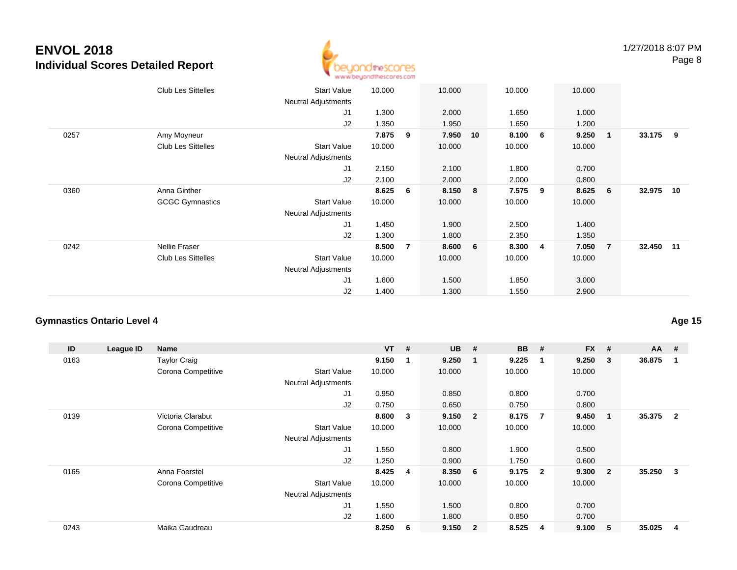

|      | <b>Club Les Sittelles</b> | <b>Start Value</b><br><b>Neutral Adjustments</b> | 10.000 |                | 10.000 |    | 10.000 |                | 10.000 |                 |           |     |
|------|---------------------------|--------------------------------------------------|--------|----------------|--------|----|--------|----------------|--------|-----------------|-----------|-----|
|      |                           | J1                                               | 1.300  |                | 2.000  |    | 1.650  |                | 1.000  |                 |           |     |
|      |                           | J2                                               | 1.350  |                | 1.950  |    | 1.650  |                | 1.200  |                 |           |     |
| 0257 | Amy Moyneur               |                                                  | 7.875  | 9              | 7.950  | 10 | 8.100  | 6              | 9.250  | 1               | 33.175    | - 9 |
|      | <b>Club Les Sittelles</b> | <b>Start Value</b>                               | 10.000 |                | 10.000 |    | 10.000 |                | 10.000 |                 |           |     |
|      |                           | <b>Neutral Adjustments</b>                       |        |                |        |    |        |                |        |                 |           |     |
|      |                           | J1                                               | 2.150  |                | 2.100  |    | 1.800  |                | 0.700  |                 |           |     |
|      |                           | J2                                               | 2.100  |                | 2.000  |    | 2.000  |                | 0.800  |                 |           |     |
| 0360 | Anna Ginther              |                                                  | 8.625  | 6              | 8.150  | 8  | 7.575  | 9              | 8.625  | $6\overline{6}$ | 32.975 10 |     |
|      | <b>GCGC Gymnastics</b>    | <b>Start Value</b>                               | 10.000 |                | 10.000 |    | 10.000 |                | 10.000 |                 |           |     |
|      |                           | Neutral Adjustments                              |        |                |        |    |        |                |        |                 |           |     |
|      |                           | J1                                               | 1.450  |                | 1.900  |    | 2.500  |                | 1.400  |                 |           |     |
|      |                           | J2                                               | 1.300  |                | 1.800  |    | 2.350  |                | 1.350  |                 |           |     |
| 0242 | Nellie Fraser             |                                                  | 8.500  | $\overline{7}$ | 8.600  | 6  | 8.300  | $\overline{4}$ | 7.050  | $\overline{7}$  | 32.450 11 |     |
|      | <b>Club Les Sittelles</b> | <b>Start Value</b>                               | 10.000 |                | 10.000 |    | 10.000 |                | 10.000 |                 |           |     |
|      |                           | <b>Neutral Adjustments</b>                       |        |                |        |    |        |                |        |                 |           |     |
|      |                           | J1                                               | 1.600  |                | 1.500  |    | 1.850  |                | 3.000  |                 |           |     |
|      |                           | J2                                               | 1.400  |                | 1.300  |    | 1.550  |                | 2.900  |                 |           |     |

### **Gymnastics Ontario Level 4**

| ID   | League ID | <b>Name</b>         |                            | $VT$ # |    | <b>UB</b> | #                       | <b>BB</b> | #              | <b>FX</b> | #              | $AA$ # |                |
|------|-----------|---------------------|----------------------------|--------|----|-----------|-------------------------|-----------|----------------|-----------|----------------|--------|----------------|
| 0163 |           | <b>Taylor Craig</b> |                            | 9.150  | -1 | 9.250     | -1                      | 9.225     | $\mathbf 1$    | 9.250     | 3              | 36.875 |                |
|      |           | Corona Competitive  | <b>Start Value</b>         | 10.000 |    | 10.000    |                         | 10.000    |                | 10.000    |                |        |                |
|      |           |                     | <b>Neutral Adjustments</b> |        |    |           |                         |           |                |           |                |        |                |
|      |           |                     | J <sub>1</sub>             | 0.950  |    | 0.850     |                         | 0.800     |                | 0.700     |                |        |                |
|      |           |                     | J <sub>2</sub>             | 0.750  |    | 0.650     |                         | 0.750     |                | 0.800     |                |        |                |
| 0139 |           | Victoria Clarabut   |                            | 8.600  | 3  | 9.150     | $\overline{\mathbf{2}}$ | 8.175     | -7             | 9.450     |                | 35.375 | $\overline{2}$ |
|      |           | Corona Competitive  | <b>Start Value</b>         | 10.000 |    | 10.000    |                         | 10.000    |                | 10.000    |                |        |                |
|      |           |                     | <b>Neutral Adjustments</b> |        |    |           |                         |           |                |           |                |        |                |
|      |           |                     | J <sub>1</sub>             | 1.550  |    | 0.800     |                         | 1.900     |                | 0.500     |                |        |                |
|      |           |                     | J2                         | 1.250  |    | 0.900     |                         | 1.750     |                | 0.600     |                |        |                |
| 0165 |           | Anna Foerstel       |                            | 8.425  | 4  | 8.350     | - 6                     | 9.175     | $\overline{2}$ | 9.300     | $\overline{2}$ | 35.250 | 3              |
|      |           | Corona Competitive  | <b>Start Value</b>         | 10.000 |    | 10.000    |                         | 10.000    |                | 10.000    |                |        |                |
|      |           |                     | <b>Neutral Adjustments</b> |        |    |           |                         |           |                |           |                |        |                |
|      |           |                     | J1                         | 1.550  |    | 1.500     |                         | 0.800     |                | 0.700     |                |        |                |
|      |           |                     | J <sub>2</sub>             | 1.600  |    | 1.800     |                         | 0.850     |                | 0.700     |                |        |                |
| 0243 |           | Maika Gaudreau      |                            | 8.250  | 6  | 9.150     | $\overline{\mathbf{2}}$ | 8.525     | 4              | 9.100     | 5              | 35.025 | 4              |

**Age 15**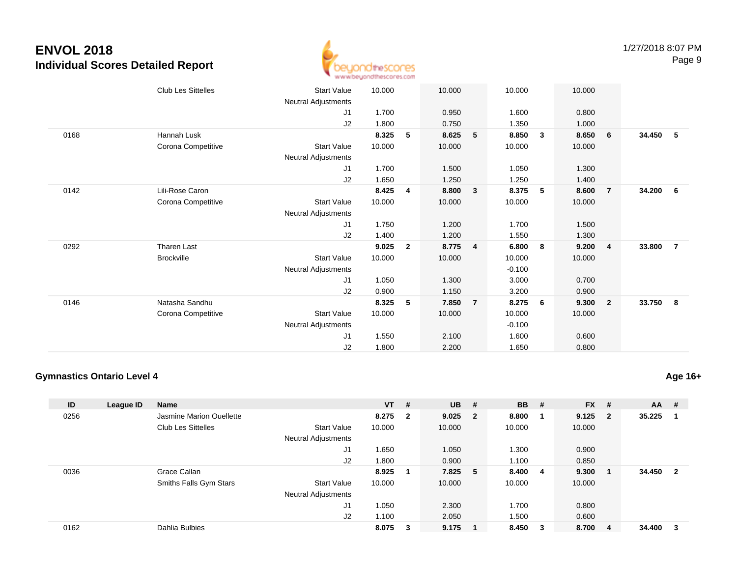

|      | <b>Club Les Sittelles</b> | <b>Start Value</b>  | 10.000 |                | 10.000 |                | 10.000   |              | 10.000 |                |        |                |
|------|---------------------------|---------------------|--------|----------------|--------|----------------|----------|--------------|--------|----------------|--------|----------------|
|      |                           | Neutral Adjustments |        |                |        |                |          |              |        |                |        |                |
|      |                           | J1                  | 1.700  |                | 0.950  |                | 1.600    |              | 0.800  |                |        |                |
|      |                           | J2                  | 1.800  |                | 0.750  |                | 1.350    |              | 1.000  |                |        |                |
| 0168 | <b>Hannah Lusk</b>        |                     | 8.325  | 5              | 8.625  | 5              | 8.850    | $\mathbf{3}$ | 8.650  | 6              | 34.450 | - 5            |
|      | Corona Competitive        | <b>Start Value</b>  | 10.000 |                | 10.000 |                | 10.000   |              | 10.000 |                |        |                |
|      |                           | Neutral Adjustments |        |                |        |                |          |              |        |                |        |                |
|      |                           | J1                  | 1.700  |                | 1.500  |                | 1.050    |              | 1.300  |                |        |                |
|      |                           | J2                  | 1.650  |                | 1.250  |                | 1.250    |              | 1.400  |                |        |                |
| 0142 | Lili-Rose Caron           |                     | 8.425  | 4              | 8.800  | $\mathbf{3}$   | 8.375    | 5            | 8.600  | $\overline{7}$ | 34.200 | - 6            |
|      | Corona Competitive        | <b>Start Value</b>  | 10.000 |                | 10.000 |                | 10.000   |              | 10.000 |                |        |                |
|      |                           | Neutral Adjustments |        |                |        |                |          |              |        |                |        |                |
|      |                           | J1                  | 1.750  |                | 1.200  |                | 1.700    |              | 1.500  |                |        |                |
|      |                           | J2                  | 1.400  |                | 1.200  |                | 1.550    |              | 1.300  |                |        |                |
| 0292 | <b>Tharen Last</b>        |                     | 9.025  | $\overline{2}$ | 8.775  | 4              | 6.800    | - 8          | 9.200  | $\overline{4}$ | 33.800 | $\overline{7}$ |
|      | <b>Brockville</b>         | <b>Start Value</b>  | 10.000 |                | 10.000 |                | 10.000   |              | 10.000 |                |        |                |
|      |                           | Neutral Adjustments |        |                |        |                | $-0.100$ |              |        |                |        |                |
|      |                           | J1                  | 1.050  |                | 1.300  |                | 3.000    |              | 0.700  |                |        |                |
|      |                           | J2                  | 0.900  |                | 1.150  |                | 3.200    |              | 0.900  |                |        |                |
| 0146 | Natasha Sandhu            |                     | 8.325  | 5              | 7.850  | $\overline{7}$ | 8.275    | 6            | 9.300  | $\overline{2}$ | 33.750 | - 8            |
|      | Corona Competitive        | <b>Start Value</b>  | 10.000 |                | 10.000 |                | 10.000   |              | 10.000 |                |        |                |
|      |                           | Neutral Adjustments |        |                |        |                | $-0.100$ |              |        |                |        |                |
|      |                           | J1                  | 1.550  |                | 2.100  |                | 1.600    |              | 0.600  |                |        |                |
|      |                           | J2                  | 1.800  |                | 2.200  |                | 1.650    |              | 0.800  |                |        |                |
|      |                           |                     |        |                |        |                |          |              |        |                |        |                |

### **Gymnastics Ontario Level 4**

**ID League ID Name VT # UB # BB # FX # AA #** 0256 Jasmine Marion Ouellette **8.275 <sup>2</sup> 9.025 <sup>2</sup> 8.800 <sup>1</sup> 9.125 <sup>2</sup> 35.225 <sup>1</sup>** Club Les Sittelles Start Valuee 10.000 10.000 10.000 10.000 Neutral Adjustments J1 1.650 1.050 1.300 0.900 J2 1.800 0.900 1.100 0.850 0036 Grace Callan **8.925 <sup>1</sup> 7.825 <sup>5</sup> 8.400 <sup>4</sup> 9.300 <sup>1</sup> 34.450 <sup>2</sup>** Smiths Falls Gym Stars Start Valuee 10.000 10.000 10.000 10.000 Neutral Adjustments J1 1.050 2.300 1.700 0.800 J2 1.100 2.050 1.500 0.600 0162Dahlia Bulbies **8.075 <sup>3</sup> 9.175 <sup>1</sup> 8.450 <sup>3</sup> 8.700 <sup>4</sup> 34.400 <sup>3</sup>**

**Age 16+**